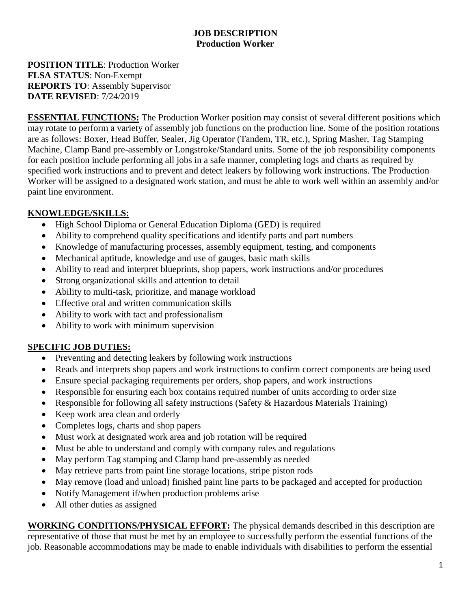## **JOB DESCRIPTION Production Worker**

**POSITION TITLE**: Production Worker **FLSA STATUS**: Non-Exempt **REPORTS TO**: Assembly Supervisor **DATE REVISED**: 7/24/2019

**ESSENTIAL FUNCTIONS:** The Production Worker position may consist of several different positions which may rotate to perform a variety of assembly job functions on the production line. Some of the position rotations are as follows: Boxer, Head Buffer, Sealer, Jig Operator (Tandem, TR, etc.), Spring Masher, Tag Stamping Machine, Clamp Band pre-assembly or Longstroke/Standard units. Some of the job responsibility components for each position include performing all jobs in a safe manner, completing logs and charts as required by specified work instructions and to prevent and detect leakers by following work instructions. The Production Worker will be assigned to a designated work station, and must be able to work well within an assembly and/or paint line environment.

## **KNOWLEDGE/SKILLS:**

- High School Diploma or General Education Diploma (GED) is required
- Ability to comprehend quality specifications and identify parts and part numbers
- Knowledge of manufacturing processes, assembly equipment, testing, and components
- Mechanical aptitude, knowledge and use of gauges, basic math skills
- Ability to read and interpret blueprints, shop papers, work instructions and/or procedures
- Strong organizational skills and attention to detail
- Ability to multi-task, prioritize, and manage workload
- Effective oral and written communication skills
- Ability to work with tact and professionalism
- Ability to work with minimum supervision

## **SPECIFIC JOB DUTIES:**

- Preventing and detecting leakers by following work instructions
- Reads and interprets shop papers and work instructions to confirm correct components are being used
- Ensure special packaging requirements per orders, shop papers, and work instructions
- Responsible for ensuring each box contains required number of units according to order size
- Responsible for following all safety instructions (Safety & Hazardous Materials Training)
- Keep work area clean and orderly
- Completes logs, charts and shop papers
- Must work at designated work area and job rotation will be required
- Must be able to understand and comply with company rules and regulations
- May perform Tag stamping and Clamp band pre-assembly as needed
- May retrieve parts from paint line storage locations, stripe piston rods
- May remove (load and unload) finished paint line parts to be packaged and accepted for production
- Notify Management if/when production problems arise
- All other duties as assigned

**WORKING CONDITIONS/PHYSICAL EFFORT:** The physical demands described in this description are representative of those that must be met by an employee to successfully perform the essential functions of the job. Reasonable accommodations may be made to enable individuals with disabilities to perform the essential